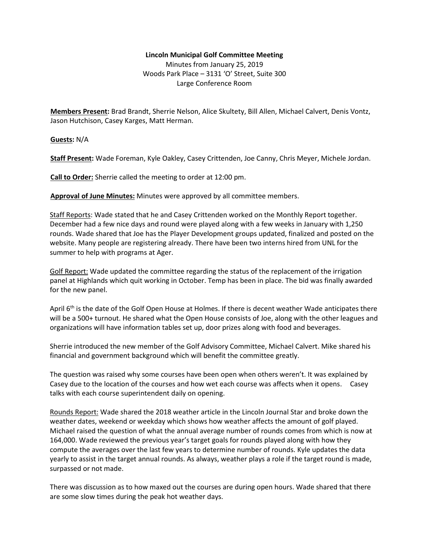## **Lincoln Municipal Golf Committee Meeting**

Minutes from January 25, 2019 Woods Park Place – 3131 'O' Street, Suite 300 Large Conference Room

**Members Present:** Brad Brandt, Sherrie Nelson, Alice Skultety, Bill Allen, Michael Calvert, Denis Vontz, Jason Hutchison, Casey Karges, Matt Herman.

**Guests:** N/A

**Staff Present:** Wade Foreman, Kyle Oakley, Casey Crittenden, Joe Canny, Chris Meyer, Michele Jordan.

**Call to Order:** Sherrie called the meeting to order at 12:00 pm.

**Approval of June Minutes:** Minutes were approved by all committee members.

Staff Reports: Wade stated that he and Casey Crittenden worked on the Monthly Report together. December had a few nice days and round were played along with a few weeks in January with 1,250 rounds. Wade shared that Joe has the Player Development groups updated, finalized and posted on the website. Many people are registering already. There have been two interns hired from UNL for the summer to help with programs at Ager.

Golf Report: Wade updated the committee regarding the status of the replacement of the irrigation panel at Highlands which quit working in October. Temp has been in place. The bid was finally awarded for the new panel.

April 6<sup>th</sup> is the date of the Golf Open House at Holmes. If there is decent weather Wade anticipates there will be a 500+ turnout. He shared what the Open House consists of Joe, along with the other leagues and organizations will have information tables set up, door prizes along with food and beverages.

Sherrie introduced the new member of the Golf Advisory Committee, Michael Calvert. Mike shared his financial and government background which will benefit the committee greatly.

The question was raised why some courses have been open when others weren't. It was explained by Casey due to the location of the courses and how wet each course was affects when it opens. Casey talks with each course superintendent daily on opening.

Rounds Report: Wade shared the 2018 weather article in the Lincoln Journal Star and broke down the weather dates, weekend or weekday which shows how weather affects the amount of golf played. Michael raised the question of what the annual average number of rounds comes from which is now at 164,000. Wade reviewed the previous year's target goals for rounds played along with how they compute the averages over the last few years to determine number of rounds. Kyle updates the data yearly to assist in the target annual rounds. As always, weather plays a role if the target round is made, surpassed or not made.

There was discussion as to how maxed out the courses are during open hours. Wade shared that there are some slow times during the peak hot weather days.